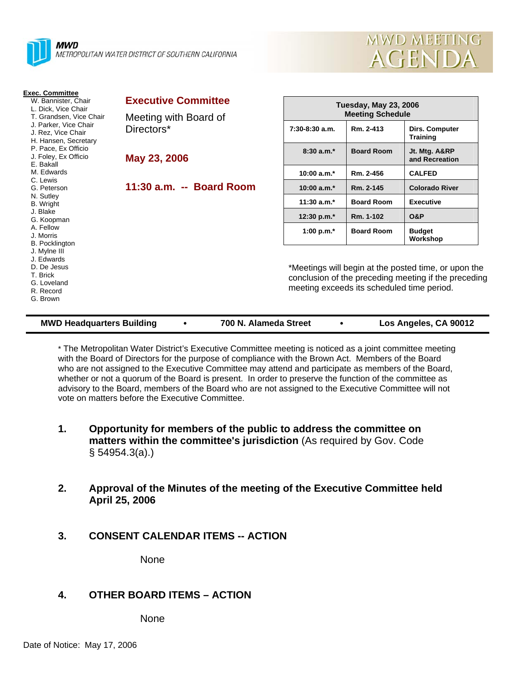



| <b>Exec. Committee</b><br>W. Bannister. Chair<br>L. Dick, Vice Chair<br>T. Grandsen, Vice Chair<br>J. Parker, Vice Chair<br>J. Rez, Vice Chair<br>H. Hansen, Secretary<br>P. Pace, Ex Officio<br>J. Foley, Ex Officio<br>E. Bakall | <b>Executive Committee</b><br>Meeting with Board of<br>Directors*<br>May 23, 2006 | <b>Tuesday, May 23, 2006</b><br><b>Meeting Schedule</b>                                                                                                    |                   |                                   |
|------------------------------------------------------------------------------------------------------------------------------------------------------------------------------------------------------------------------------------|-----------------------------------------------------------------------------------|------------------------------------------------------------------------------------------------------------------------------------------------------------|-------------------|-----------------------------------|
|                                                                                                                                                                                                                                    |                                                                                   | $7:30-8:30$ a.m.                                                                                                                                           | Rm. 2-413         | Dirs. Computer<br><b>Training</b> |
|                                                                                                                                                                                                                                    |                                                                                   | $8:30a.m.*$                                                                                                                                                | <b>Board Room</b> | Jt. Mtg. A&RP<br>and Recreation   |
| M. Edwards                                                                                                                                                                                                                         |                                                                                   | 10:00 $a.m.*$                                                                                                                                              | Rm. 2-456         | <b>CALFED</b>                     |
| C. Lewis<br>G. Peterson                                                                                                                                                                                                            | 11:30 a.m. -- Board Room                                                          | 10:00 $a.m.*$                                                                                                                                              | Rm. 2-145         | <b>Colorado River</b>             |
| N. Sutley<br><b>B.</b> Wright                                                                                                                                                                                                      |                                                                                   | $11:30$ a.m.*                                                                                                                                              | <b>Board Room</b> | <b>Executive</b>                  |
| J. Blake<br>G. Koopman                                                                                                                                                                                                             |                                                                                   | 12:30 p.m.*                                                                                                                                                | Rm. 1-102         | <b>O&amp;P</b>                    |
| A. Fellow<br>J. Morris<br><b>B.</b> Pocklington                                                                                                                                                                                    |                                                                                   | 1:00 p.m. $*$                                                                                                                                              | <b>Board Room</b> | <b>Budget</b><br>Workshop         |
| J. Mylne III<br>J. Edwards<br>D. De Jesus<br>T. Brick<br>G. Loveland<br>R. Record<br>G. Brown                                                                                                                                      |                                                                                   | *Meetings will begin at the posted time, or upon the<br>conclusion of the preceding meeting if the preceding<br>meeting exceeds its scheduled time period. |                   |                                   |

#### **MWD Headquarters Building** y **700 N. Alameda Street** y **Los Angeles, CA 90012**

\* The Metropolitan Water District's Executive Committee meeting is noticed as a joint committee meeting with the Board of Directors for the purpose of compliance with the Brown Act. Members of the Board who are not assigned to the Executive Committee may attend and participate as members of the Board, whether or not a quorum of the Board is present. In order to preserve the function of the committee as advisory to the Board, members of the Board who are not assigned to the Executive Committee will not vote on matters before the Executive Committee.

- **1. Opportunity for members of the public to address the committee on matters within the committee's jurisdiction** (As required by Gov. Code § 54954.3(a).)
- **2. Approval of the Minutes of the meeting of the Executive Committee held April 25, 2006**
- **3. CONSENT CALENDAR ITEMS -- ACTION**

None

# **4. OTHER BOARD ITEMS – ACTION**

None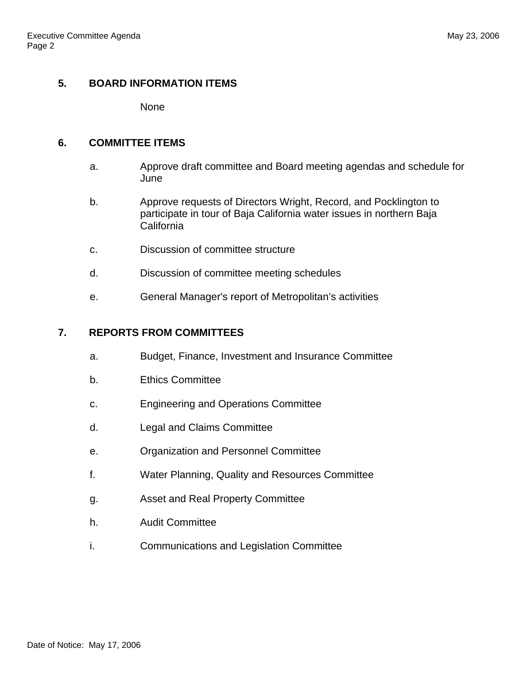## **5. BOARD INFORMATION ITEMS**

None

### **6. COMMITTEE ITEMS**

- a. Approve draft committee and Board meeting agendas and schedule for **June**
- b. Approve requests of Directors Wright, Record, and Pocklington to participate in tour of Baja California water issues in northern Baja **California**
- c. Discussion of committee structure
- d. Discussion of committee meeting schedules
- e. General Manager's report of Metropolitan's activities

### **7. REPORTS FROM COMMITTEES**

- a. Budget, Finance, Investment and Insurance Committee
- b. Ethics Committee
- c. Engineering and Operations Committee
- d. Legal and Claims Committee
- e. Organization and Personnel Committee
- f. Water Planning, Quality and Resources Committee
- g. Asset and Real Property Committee
- h. Audit Committee
- i. Communications and Legislation Committee